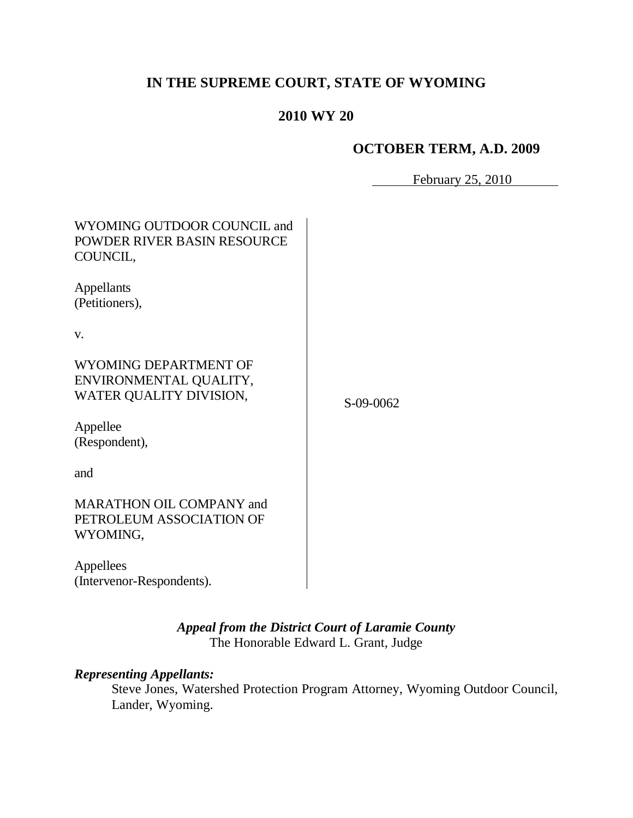# **IN THE SUPREME COURT, STATE OF WYOMING**

## **2010 WY 20**

## **OCTOBER TERM, A.D. 2009**

February 25, 2010

| WYOMING OUTDOOR COUNCIL and<br>POWDER RIVER BASIN RESOURCE<br>COUNCIL,     |             |
|----------------------------------------------------------------------------|-------------|
| Appellants<br>(Petitioners),                                               |             |
| V.                                                                         |             |
| WYOMING DEPARTMENT OF<br>ENVIRONMENTAL QUALITY,<br>WATER QUALITY DIVISION, | $S-09-0062$ |
| Appellee<br>(Respondent),                                                  |             |
| and                                                                        |             |
| <b>MARATHON OIL COMPANY and</b><br>PETROLEUM ASSOCIATION OF<br>WYOMING,    |             |
| Appellees<br>(Intervenor-Respondents).                                     |             |

*Appeal from the District Court of Laramie County* The Honorable Edward L. Grant, Judge

## *Representing Appellants:*

Steve Jones, Watershed Protection Program Attorney, Wyoming Outdoor Council, Lander, Wyoming.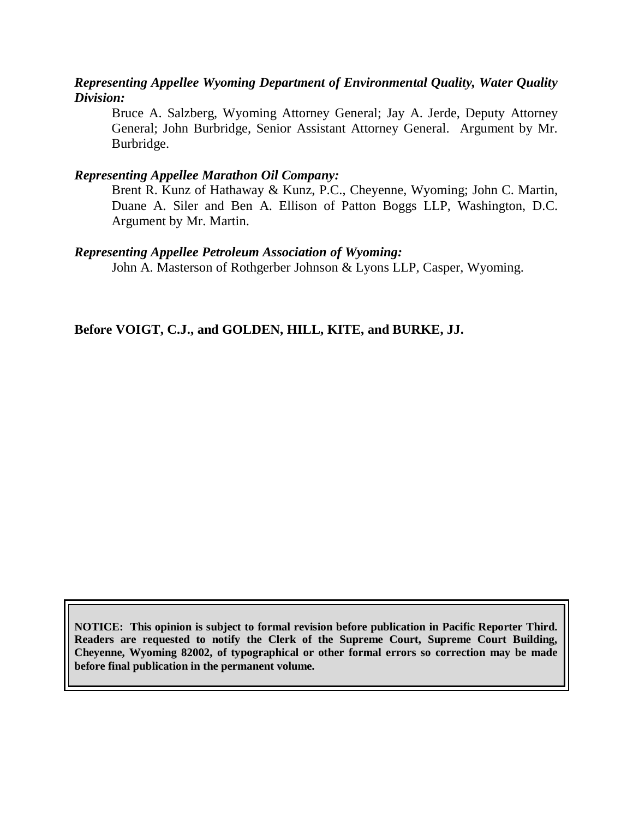### *Representing Appellee Wyoming Department of Environmental Quality, Water Quality Division:*

Bruce A. Salzberg, Wyoming Attorney General; Jay A. Jerde, Deputy Attorney General; John Burbridge, Senior Assistant Attorney General. Argument by Mr. Burbridge.

#### *Representing Appellee Marathon Oil Company:*

Brent R. Kunz of Hathaway & Kunz, P.C., Cheyenne, Wyoming; John C. Martin, Duane A. Siler and Ben A. Ellison of Patton Boggs LLP, Washington, D.C. Argument by Mr. Martin.

### *Representing Appellee Petroleum Association of Wyoming:*

John A. Masterson of Rothgerber Johnson & Lyons LLP, Casper, Wyoming.

**Before VOIGT, C.J., and GOLDEN, HILL, KITE, and BURKE, JJ.**

**NOTICE: This opinion is subject to formal revision before publication in Pacific Reporter Third. Readers are requested to notify the Clerk of the Supreme Court, Supreme Court Building, Cheyenne, Wyoming 82002, of typographical or other formal errors so correction may be made before final publication in the permanent volume.**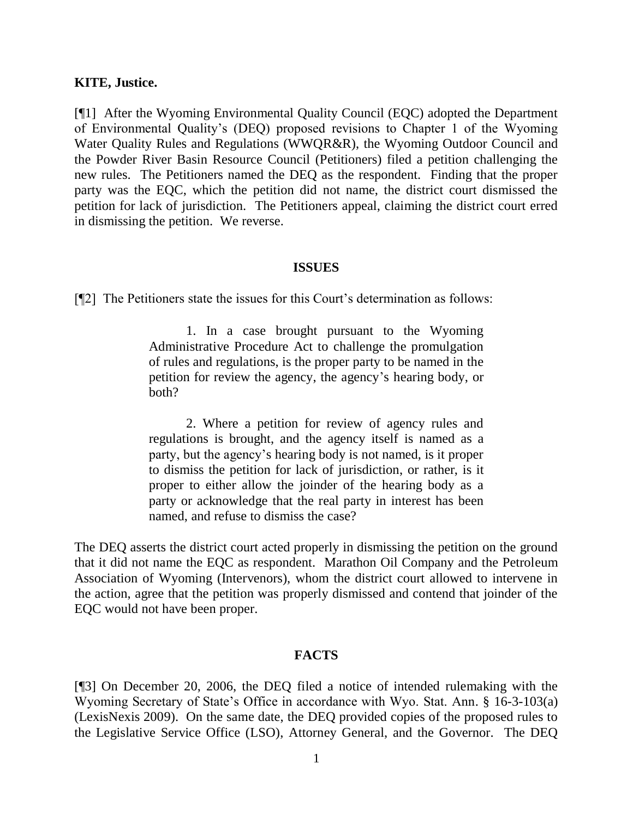#### **KITE, Justice.**

[¶1] After the Wyoming Environmental Quality Council (EQC) adopted the Department of Environmental Quality's (DEQ) proposed revisions to Chapter 1 of the Wyoming Water Quality Rules and Regulations (WWQR&R), the Wyoming Outdoor Council and the Powder River Basin Resource Council (Petitioners) filed a petition challenging the new rules. The Petitioners named the DEQ as the respondent. Finding that the proper party was the EQC, which the petition did not name, the district court dismissed the petition for lack of jurisdiction. The Petitioners appeal, claiming the district court erred in dismissing the petition. We reverse.

#### **ISSUES**

[¶2] The Petitioners state the issues for this Court's determination as follows:

1. In a case brought pursuant to the Wyoming Administrative Procedure Act to challenge the promulgation of rules and regulations, is the proper party to be named in the petition for review the agency, the agency's hearing body, or both?

2. Where a petition for review of agency rules and regulations is brought, and the agency itself is named as a party, but the agency's hearing body is not named, is it proper to dismiss the petition for lack of jurisdiction, or rather, is it proper to either allow the joinder of the hearing body as a party or acknowledge that the real party in interest has been named, and refuse to dismiss the case?

The DEQ asserts the district court acted properly in dismissing the petition on the ground that it did not name the EQC as respondent. Marathon Oil Company and the Petroleum Association of Wyoming (Intervenors), whom the district court allowed to intervene in the action, agree that the petition was properly dismissed and contend that joinder of the EQC would not have been proper.

#### **FACTS**

[¶3] On December 20, 2006, the DEQ filed a notice of intended rulemaking with the Wyoming Secretary of State's Office in accordance with Wyo. Stat. Ann. § 16-3-103(a) (LexisNexis 2009). On the same date, the DEQ provided copies of the proposed rules to the Legislative Service Office (LSO), Attorney General, and the Governor. The DEQ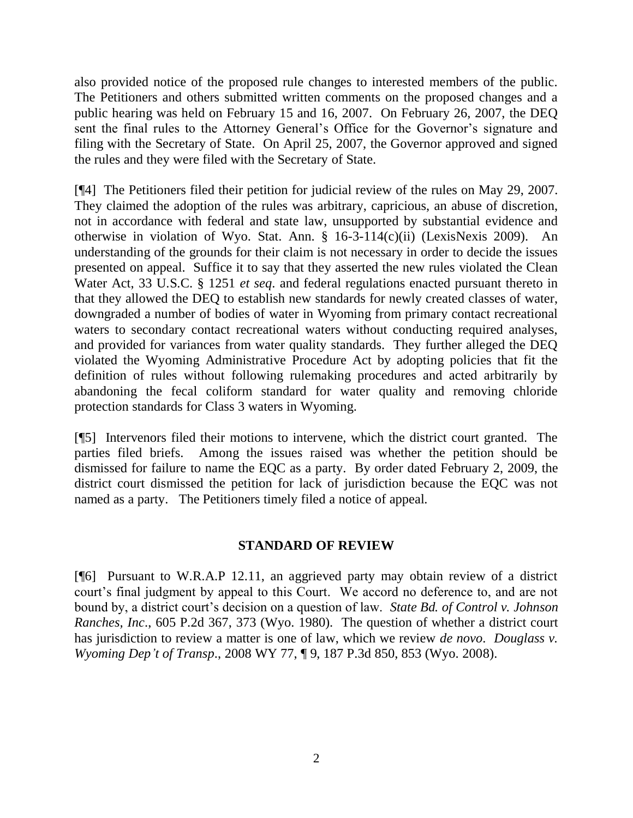also provided notice of the proposed rule changes to interested members of the public. The Petitioners and others submitted written comments on the proposed changes and a public hearing was held on February 15 and 16, 2007. On February 26, 2007, the DEQ sent the final rules to the Attorney General's Office for the Governor's signature and filing with the Secretary of State. On April 25, 2007, the Governor approved and signed the rules and they were filed with the Secretary of State.

[¶4] The Petitioners filed their petition for judicial review of the rules on May 29, 2007. They claimed the adoption of the rules was arbitrary, capricious, an abuse of discretion, not in accordance with federal and state law, unsupported by substantial evidence and otherwise in violation of Wyo. Stat. Ann. § 16-3-114(c)(ii) (LexisNexis 2009). An understanding of the grounds for their claim is not necessary in order to decide the issues presented on appeal. Suffice it to say that they asserted the new rules violated the Clean Water Act, 33 U.S.C. § 1251 *et seq*. and federal regulations enacted pursuant thereto in that they allowed the DEQ to establish new standards for newly created classes of water, downgraded a number of bodies of water in Wyoming from primary contact recreational waters to secondary contact recreational waters without conducting required analyses, and provided for variances from water quality standards. They further alleged the DEQ violated the Wyoming Administrative Procedure Act by adopting policies that fit the definition of rules without following rulemaking procedures and acted arbitrarily by abandoning the fecal coliform standard for water quality and removing chloride protection standards for Class 3 waters in Wyoming.

[¶5] Intervenors filed their motions to intervene, which the district court granted. The parties filed briefs. Among the issues raised was whether the petition should be dismissed for failure to name the EQC as a party. By order dated February 2, 2009, the district court dismissed the petition for lack of jurisdiction because the EQC was not named as a party. The Petitioners timely filed a notice of appeal.

### **STANDARD OF REVIEW**

[¶6] Pursuant to W.R.A.P 12.11, an aggrieved party may obtain review of a district court's final judgment by appeal to this Court. We accord no deference to, and are not bound by, a district court's decision on a question of law. *State Bd. of Control v. Johnson Ranches, Inc*., 605 P.2d 367, 373 (Wyo. 1980). The question of whether a district court has jurisdiction to review a matter is one of law, which we review *de novo*. *Douglass v. Wyoming Dep't of Transp*., 2008 WY 77, ¶ 9, 187 P.3d 850, 853 (Wyo. 2008).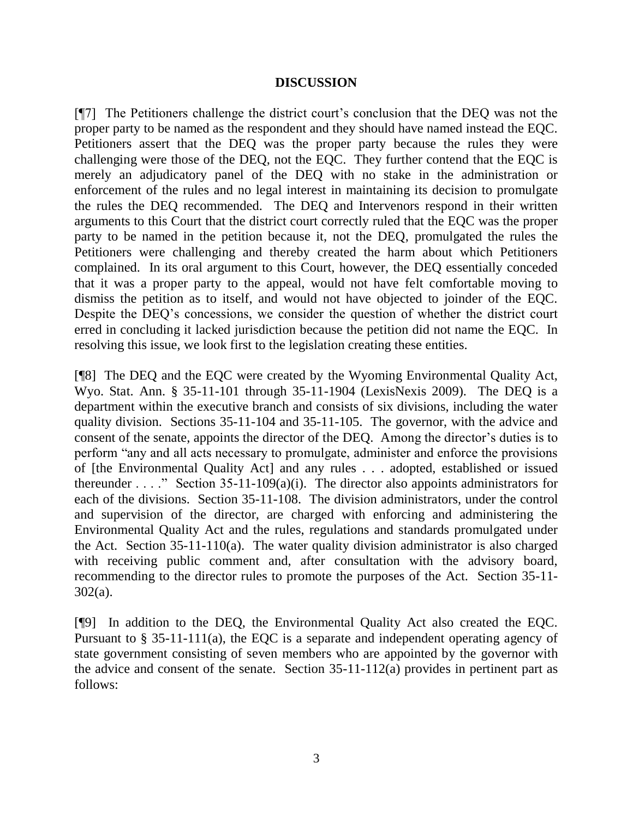#### **DISCUSSION**

[¶7] The Petitioners challenge the district court's conclusion that the DEQ was not the proper party to be named as the respondent and they should have named instead the EQC. Petitioners assert that the DEQ was the proper party because the rules they were challenging were those of the DEQ, not the EQC. They further contend that the EQC is merely an adjudicatory panel of the DEQ with no stake in the administration or enforcement of the rules and no legal interest in maintaining its decision to promulgate the rules the DEQ recommended. The DEQ and Intervenors respond in their written arguments to this Court that the district court correctly ruled that the EQC was the proper party to be named in the petition because it, not the DEQ, promulgated the rules the Petitioners were challenging and thereby created the harm about which Petitioners complained. In its oral argument to this Court, however, the DEQ essentially conceded that it was a proper party to the appeal, would not have felt comfortable moving to dismiss the petition as to itself, and would not have objected to joinder of the EQC. Despite the DEQ's concessions, we consider the question of whether the district court erred in concluding it lacked jurisdiction because the petition did not name the EQC. In resolving this issue, we look first to the legislation creating these entities.

[¶8] The DEQ and the EQC were created by the Wyoming Environmental Quality Act, Wyo. Stat. Ann. § 35-11-101 through 35-11-1904 (LexisNexis 2009). The DEQ is a department within the executive branch and consists of six divisions, including the water quality division. Sections 35-11-104 and 35-11-105. The governor, with the advice and consent of the senate, appoints the director of the DEQ. Among the director's duties is to perform "any and all acts necessary to promulgate, administer and enforce the provisions of [the Environmental Quality Act] and any rules . . . adopted, established or issued thereunder . . . ." Section 35-11-109(a)(i). The director also appoints administrators for each of the divisions. Section 35-11-108. The division administrators, under the control and supervision of the director, are charged with enforcing and administering the Environmental Quality Act and the rules, regulations and standards promulgated under the Act. Section 35-11-110(a). The water quality division administrator is also charged with receiving public comment and, after consultation with the advisory board, recommending to the director rules to promote the purposes of the Act. Section 35-11- 302(a).

[¶9] In addition to the DEQ, the Environmental Quality Act also created the EQC. Pursuant to § 35-11-111(a), the EQC is a separate and independent operating agency of state government consisting of seven members who are appointed by the governor with the advice and consent of the senate. Section 35-11-112(a) provides in pertinent part as follows: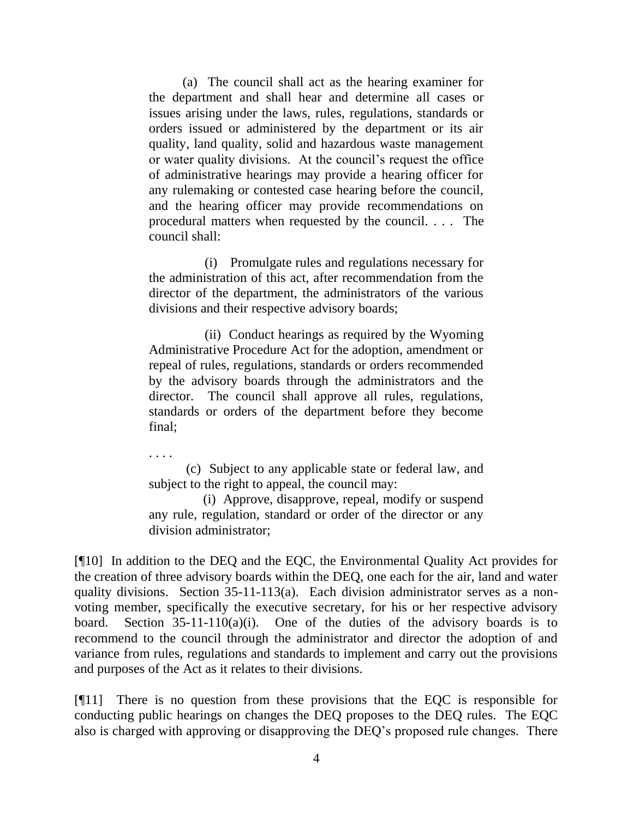(a) The council shall act as the hearing examiner for the department and shall hear and determine all cases or issues arising under the laws, rules, regulations, standards or orders issued or administered by the department or its air quality, land quality, solid and hazardous waste management or water quality divisions. At the council's request the office of administrative hearings may provide a hearing officer for any rulemaking or contested case hearing before the council, and the hearing officer may provide recommendations on procedural matters when requested by the council. . . . The council shall:

(i) Promulgate rules and regulations necessary for the administration of this act, after recommendation from the director of the department, the administrators of the various divisions and their respective advisory boards;

(ii) Conduct hearings as required by the Wyoming Administrative Procedure Act for the adoption, amendment or repeal of rules, regulations, standards or orders recommended by the advisory boards through the administrators and the director. The council shall approve all rules, regulations, standards or orders of the department before they become final;

. . . .

(c) Subject to any applicable state or federal law, and subject to the right to appeal, the council may:

 (i) Approve, disapprove, repeal, modify or suspend any rule, regulation, standard or order of the director or any division administrator;

[¶10] In addition to the DEQ and the EQC, the Environmental Quality Act provides for the creation of three advisory boards within the DEQ, one each for the air, land and water quality divisions. Section 35-11-113(a). Each division administrator serves as a nonvoting member, specifically the executive secretary, for his or her respective advisory board. Section  $35-11-110(a)(i)$ . One of the duties of the advisory boards is to recommend to the council through the administrator and director the adoption of and variance from rules, regulations and standards to implement and carry out the provisions and purposes of the Act as it relates to their divisions.

[¶11] There is no question from these provisions that the EQC is responsible for conducting public hearings on changes the DEQ proposes to the DEQ rules. The EQC also is charged with approving or disapproving the DEQ's proposed rule changes. There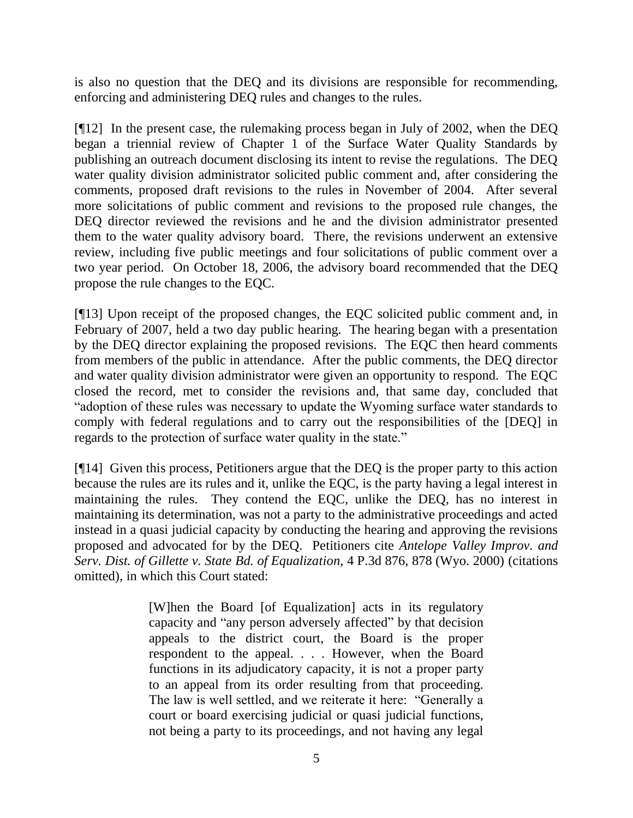is also no question that the DEQ and its divisions are responsible for recommending, enforcing and administering DEQ rules and changes to the rules.

[¶12] In the present case, the rulemaking process began in July of 2002, when the DEQ began a triennial review of Chapter 1 of the Surface Water Quality Standards by publishing an outreach document disclosing its intent to revise the regulations. The DEQ water quality division administrator solicited public comment and, after considering the comments, proposed draft revisions to the rules in November of 2004. After several more solicitations of public comment and revisions to the proposed rule changes, the DEQ director reviewed the revisions and he and the division administrator presented them to the water quality advisory board. There, the revisions underwent an extensive review, including five public meetings and four solicitations of public comment over a two year period. On October 18, 2006, the advisory board recommended that the DEQ propose the rule changes to the EQC.

[¶13] Upon receipt of the proposed changes, the EQC solicited public comment and, in February of 2007, held a two day public hearing. The hearing began with a presentation by the DEQ director explaining the proposed revisions. The EQC then heard comments from members of the public in attendance. After the public comments, the DEQ director and water quality division administrator were given an opportunity to respond. The EQC closed the record, met to consider the revisions and, that same day, concluded that "adoption of these rules was necessary to update the Wyoming surface water standards to comply with federal regulations and to carry out the responsibilities of the [DEQ] in regards to the protection of surface water quality in the state."

[¶14] Given this process, Petitioners argue that the DEQ is the proper party to this action because the rules are its rules and it, unlike the EQC, is the party having a legal interest in maintaining the rules. They contend the EQC, unlike the DEQ, has no interest in maintaining its determination, was not a party to the administrative proceedings and acted instead in a quasi judicial capacity by conducting the hearing and approving the revisions proposed and advocated for by the DEQ. Petitioners cite *Antelope Valley Improv. and Serv. Dist. of Gillette v. State Bd. of Equalization*, 4 P.3d 876, 878 (Wyo. 2000) (citations omitted), in which this Court stated:

> [W]hen the Board [of Equalization] acts in its regulatory capacity and "any person adversely affected" by that decision appeals to the district court, the Board is the proper respondent to the appeal. . . . However, when the Board functions in its adjudicatory capacity, it is not a proper party to an appeal from its order resulting from that proceeding. The law is well settled, and we reiterate it here: "Generally a court or board exercising judicial or quasi judicial functions, not being a party to its proceedings, and not having any legal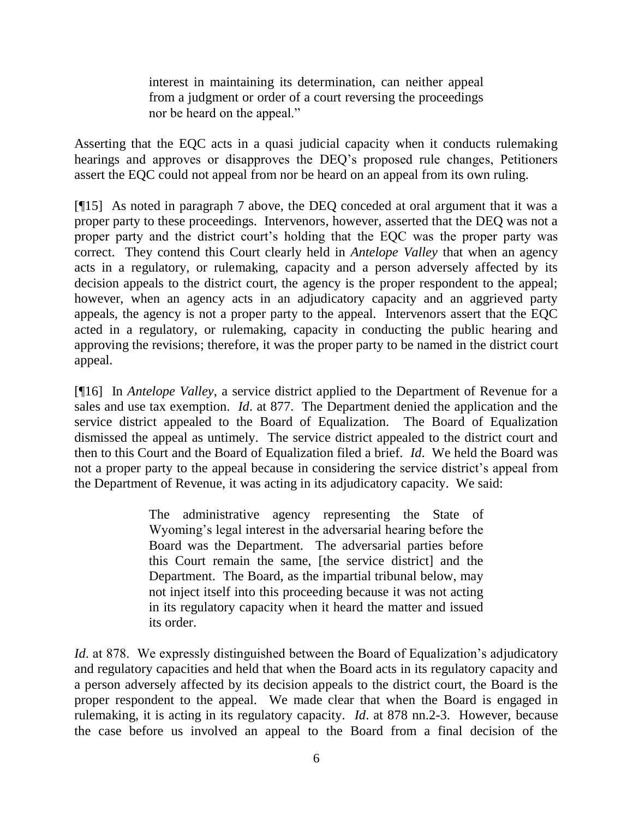interest in maintaining its determination, can neither appeal from a judgment or order of a court reversing the proceedings nor be heard on the appeal."

Asserting that the EQC acts in a quasi judicial capacity when it conducts rulemaking hearings and approves or disapproves the DEQ's proposed rule changes, Petitioners assert the EQC could not appeal from nor be heard on an appeal from its own ruling.

[¶15] As noted in paragraph 7 above, the DEQ conceded at oral argument that it was a proper party to these proceedings. Intervenors, however, asserted that the DEQ was not a proper party and the district court's holding that the EQC was the proper party was correct. They contend this Court clearly held in *Antelope Valley* that when an agency acts in a regulatory, or rulemaking, capacity and a person adversely affected by its decision appeals to the district court, the agency is the proper respondent to the appeal; however, when an agency acts in an adjudicatory capacity and an aggrieved party appeals, the agency is not a proper party to the appeal. Intervenors assert that the EQC acted in a regulatory, or rulemaking, capacity in conducting the public hearing and approving the revisions; therefore, it was the proper party to be named in the district court appeal.

[¶16] In *Antelope Valley*, a service district applied to the Department of Revenue for a sales and use tax exemption. *Id*. at 877. The Department denied the application and the service district appealed to the Board of Equalization. The Board of Equalization dismissed the appeal as untimely. The service district appealed to the district court and then to this Court and the Board of Equalization filed a brief. *Id*. We held the Board was not a proper party to the appeal because in considering the service district's appeal from the Department of Revenue, it was acting in its adjudicatory capacity. We said:

> The administrative agency representing the State of Wyoming's legal interest in the adversarial hearing before the Board was the Department. The adversarial parties before this Court remain the same, [the service district] and the Department. The Board, as the impartial tribunal below, may not inject itself into this proceeding because it was not acting in its regulatory capacity when it heard the matter and issued its order.

*Id.* at 878. We expressly distinguished between the Board of Equalization's adjudicatory and regulatory capacities and held that when the Board acts in its regulatory capacity and a person adversely affected by its decision appeals to the district court, the Board is the proper respondent to the appeal. We made clear that when the Board is engaged in rulemaking, it is acting in its regulatory capacity. *Id*. at 878 nn.2-3. However, because the case before us involved an appeal to the Board from a final decision of the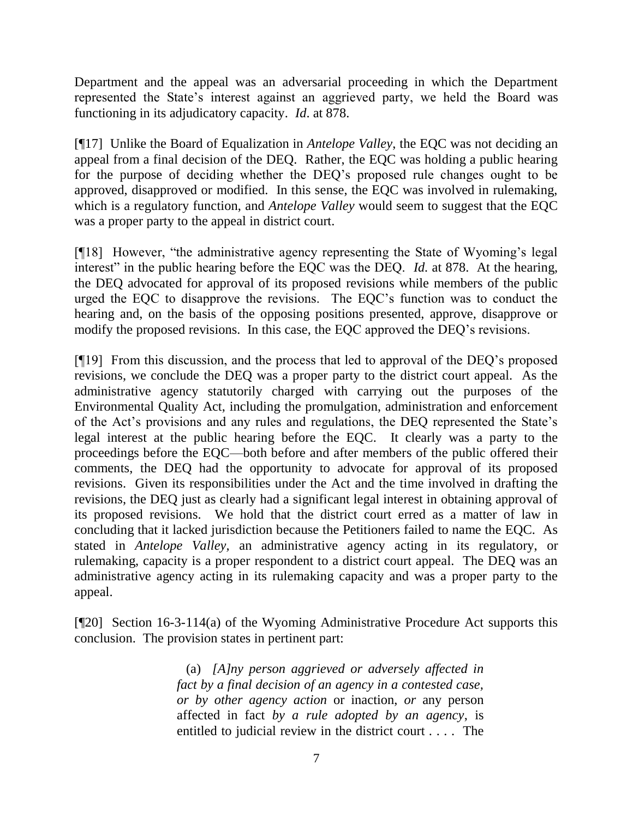Department and the appeal was an adversarial proceeding in which the Department represented the State's interest against an aggrieved party, we held the Board was functioning in its adjudicatory capacity. *Id*. at 878.

[¶17] Unlike the Board of Equalization in *Antelope Valley*, the EQC was not deciding an appeal from a final decision of the DEQ. Rather, the EQC was holding a public hearing for the purpose of deciding whether the DEQ's proposed rule changes ought to be approved, disapproved or modified. In this sense, the EQC was involved in rulemaking, which is a regulatory function, and *Antelope Valley* would seem to suggest that the EQC was a proper party to the appeal in district court.

[¶18] However, "the administrative agency representing the State of Wyoming's legal interest" in the public hearing before the EQC was the DEQ. *Id.* at 878. At the hearing, the DEQ advocated for approval of its proposed revisions while members of the public urged the EQC to disapprove the revisions. The EQC's function was to conduct the hearing and, on the basis of the opposing positions presented, approve, disapprove or modify the proposed revisions. In this case, the EQC approved the DEQ's revisions.

[¶19] From this discussion, and the process that led to approval of the DEQ's proposed revisions, we conclude the DEQ was a proper party to the district court appeal. As the administrative agency statutorily charged with carrying out the purposes of the Environmental Quality Act, including the promulgation, administration and enforcement of the Act's provisions and any rules and regulations, the DEQ represented the State's legal interest at the public hearing before the EQC. It clearly was a party to the proceedings before the EQC—both before and after members of the public offered their comments, the DEQ had the opportunity to advocate for approval of its proposed revisions. Given its responsibilities under the Act and the time involved in drafting the revisions, the DEQ just as clearly had a significant legal interest in obtaining approval of its proposed revisions. We hold that the district court erred as a matter of law in concluding that it lacked jurisdiction because the Petitioners failed to name the EQC. As stated in *Antelope Valley,* an administrative agency acting in its regulatory, or rulemaking, capacity is a proper respondent to a district court appeal. The DEQ was an administrative agency acting in its rulemaking capacity and was a proper party to the appeal.

[¶20] Section 16-3-114(a) of the Wyoming Administrative Procedure Act supports this conclusion. The provision states in pertinent part:

> (a) *[A]ny person aggrieved or adversely affected in fact by a final decision of an agency in a contested case, or by other agency action* or inaction, *or* any person affected in fact *by a rule adopted by an agency*, is entitled to judicial review in the district court . . . . The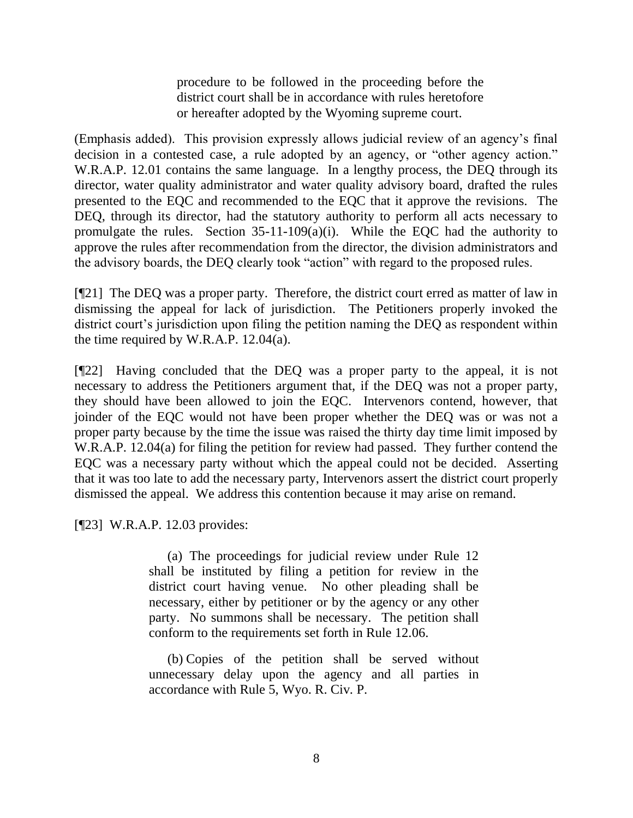procedure to be followed in the proceeding before the district court shall be in accordance with rules heretofore or hereafter adopted by the Wyoming supreme court.

(Emphasis added). This provision expressly allows judicial review of an agency's final decision in a contested case, a rule adopted by an agency, or "other agency action." W.R.A.P. 12.01 contains the same language. In a lengthy process, the DEQ through its director, water quality administrator and water quality advisory board, drafted the rules presented to the EQC and recommended to the EQC that it approve the revisions. The DEQ, through its director, had the statutory authority to perform all acts necessary to promulgate the rules. Section 35-11-109(a)(i). While the EQC had the authority to approve the rules after recommendation from the director, the division administrators and the advisory boards, the DEQ clearly took "action" with regard to the proposed rules.

[¶21] The DEQ was a proper party. Therefore, the district court erred as matter of law in dismissing the appeal for lack of jurisdiction. The Petitioners properly invoked the district court's jurisdiction upon filing the petition naming the DEQ as respondent within the time required by W.R.A.P. 12.04(a).

[¶22] Having concluded that the DEQ was a proper party to the appeal, it is not necessary to address the Petitioners argument that, if the DEQ was not a proper party, they should have been allowed to join the EQC. Intervenors contend, however, that joinder of the EQC would not have been proper whether the DEQ was or was not a proper party because by the time the issue was raised the thirty day time limit imposed by W.R.A.P. 12.04(a) for filing the petition for review had passed. They further contend the EQC was a necessary party without which the appeal could not be decided. Asserting that it was too late to add the necessary party, Intervenors assert the district court properly dismissed the appeal. We address this contention because it may arise on remand.

[¶23] W.R.A.P. 12.03 provides:

(a) The proceedings for judicial review under Rule 12 shall be instituted by filing a petition for review in the district court having venue. No other pleading shall be necessary, either by petitioner or by the agency or any other party. No summons shall be necessary. The petition shall conform to the requirements set forth in Rule 12.06.

(b) Copies of the petition shall be served without unnecessary delay upon the agency and all parties in accordance with Rule 5, Wyo. R. Civ. P.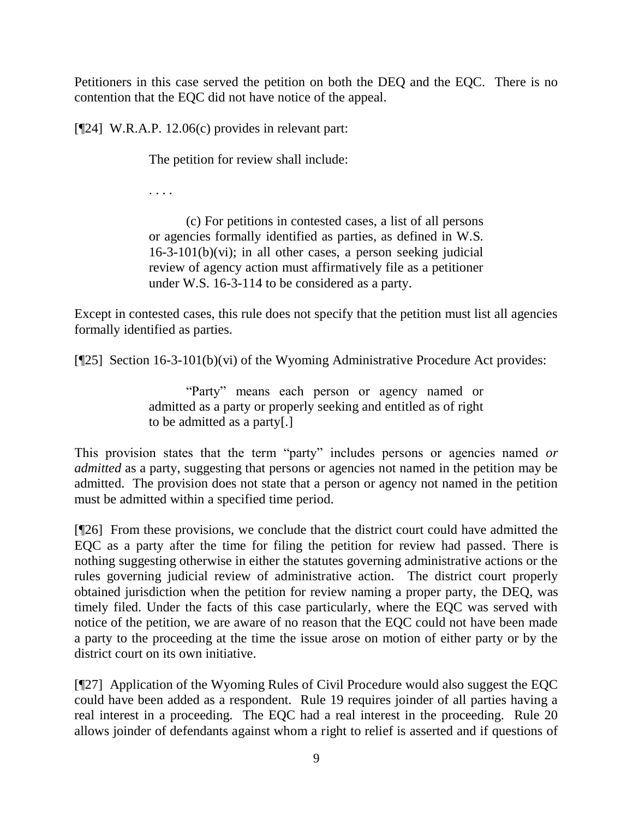Petitioners in this case served the petition on both the DEQ and the EQC. There is no contention that the EQC did not have notice of the appeal.

[¶24] W.R.A.P. 12.06(c) provides in relevant part:

The petition for review shall include:

. . . .

(c) For petitions in contested cases, a list of all persons or agencies formally identified as parties, as defined in W.S.  $16-3-101(b)(vi)$ ; in all other cases, a person seeking judicial review of agency action must affirmatively file as a petitioner under W.S. 16-3-114 to be considered as a party.

Except in contested cases, this rule does not specify that the petition must list all agencies formally identified as parties.

[¶25] Section 16-3-101(b)(vi) of the Wyoming Administrative Procedure Act provides:

"Party" means each person or agency named or admitted as a party or properly seeking and entitled as of right to be admitted as a party[.]

This provision states that the term "party" includes persons or agencies named *or ddmitted* as a party, suggesting that persons or agencies not named in the petition may be admitted. The provision does not state that a person or agency not named in the petition must be admitted within a specified time period.

[¶26] From these provisions, we conclude that the district court could have admitted the EQC as a party after the time for filing the petition for review had passed. There is nothing suggesting otherwise in either the statutes governing administrative actions or the rules governing judicial review of administrative action. The district court properly obtained jurisdiction when the petition for review naming a proper party, the DEQ, was timely filed. Under the facts of this case particularly, where the EQC was served with notice of the petition, we are aware of no reason that the EQC could not have been made a party to the proceeding at the time the issue arose on motion of either party or by the district court on its own initiative.

[¶27] Application of the Wyoming Rules of Civil Procedure would also suggest the EQC could have been added as a respondent. Rule 19 requires joinder of all parties having a real interest in a proceeding. The EQC had a real interest in the proceeding. Rule 20 allows joinder of defendants against whom a right to relief is asserted and if questions of